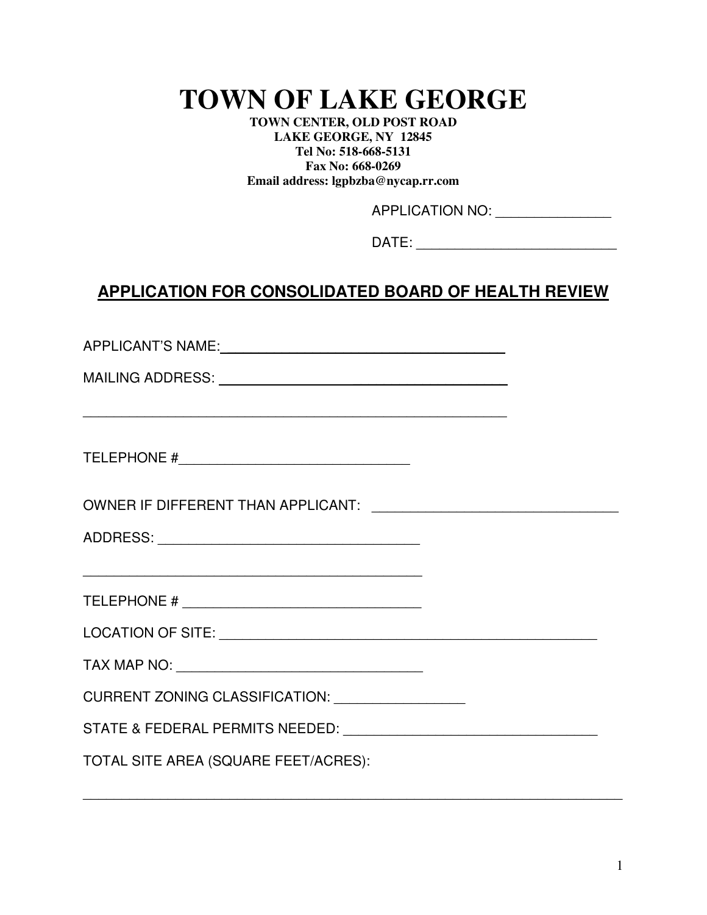# **TOWN OF LAKE GEORGE**

**TOWN CENTER, OLD POST ROAD LAKE GEORGE, NY 12845 Tel No: 518-668-5131 Fax No: 668-0269 Email address: lgpbzba@nycap.rr.com**

APPLICATION NO: \_\_\_\_\_\_\_\_\_\_\_\_\_\_\_

DATE:  $\blacksquare$ 

## **APPLICATION FOR CONSOLIDATED BOARD OF HEALTH REVIEW**

APPLICANT'S NAME: \_\_\_\_\_\_\_\_\_\_\_\_\_\_\_\_\_\_\_\_\_\_\_\_\_\_\_\_\_\_\_\_\_\_\_\_

\_\_\_\_\_\_\_\_\_\_\_\_\_\_\_\_\_\_\_\_\_\_\_\_\_\_\_\_\_\_\_\_\_\_\_\_\_\_\_\_\_\_\_\_\_\_\_\_\_\_\_\_\_\_\_

MAILING ADDRESS: \_\_\_\_\_\_\_\_\_\_\_\_\_\_\_\_\_\_\_\_

TELEPHONE #\_\_\_\_\_\_\_\_\_\_\_\_\_\_\_\_\_\_\_\_\_\_\_\_\_\_\_\_\_\_

OWNER IF DIFFERENT THAN APPLICANT: \_\_\_\_\_\_\_\_\_\_\_\_\_\_\_\_\_\_\_\_\_\_\_\_\_\_\_\_\_\_\_\_

ADDRESS: \_\_\_\_\_\_\_\_\_\_\_\_\_\_\_\_\_\_\_\_\_\_\_\_\_\_\_\_\_\_\_\_\_\_

TELEPHONE # \_\_\_\_\_\_\_\_\_\_\_\_\_\_\_\_\_\_\_\_\_\_\_\_\_\_\_\_\_\_\_

\_\_\_\_\_\_\_\_\_\_\_\_\_\_\_\_\_\_\_\_\_\_\_\_\_\_\_\_\_\_\_\_\_\_\_\_\_\_\_\_\_\_\_\_

LOCATION OF SITE: \_\_\_\_\_\_\_\_\_\_\_\_\_\_\_\_\_\_\_\_\_\_\_\_\_\_\_\_\_\_\_\_\_\_\_\_\_\_\_\_\_\_\_\_\_\_\_\_\_

\_\_\_\_\_\_\_\_\_\_\_\_\_\_\_\_\_\_\_\_\_\_\_\_\_\_\_\_\_\_\_\_\_\_\_\_\_\_\_\_\_\_\_\_\_\_\_\_\_\_\_\_\_\_\_\_\_\_\_\_\_\_\_\_\_\_\_\_\_\_

TAX MAP NO: **with the set of the set of the set of the set of the set of the set of the set of the set of the set of the set of the set of the set of the set of the set of the set of the set of the set of the set of the se** 

CURRENT ZONING CLASSIFICATION: \_\_\_\_\_\_\_\_\_\_\_\_\_\_\_\_\_

STATE & FEDERAL PERMITS NEEDED: \_\_\_\_\_\_\_\_\_\_\_\_\_\_\_\_\_\_\_\_\_\_\_\_\_\_\_\_\_\_\_\_\_

TOTAL SITE AREA (SQUARE FEET/ACRES):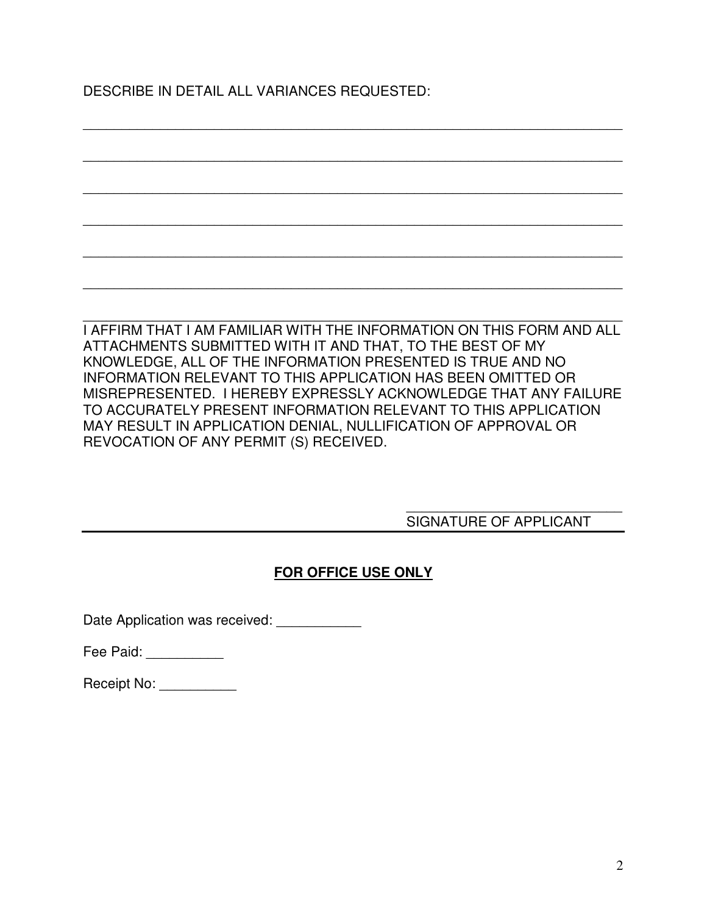DESCRIBE IN DETAIL ALL VARIANCES REQUESTED:

I AFFIRM THAT I AM FAMILIAR WITH THE INFORMATION ON THIS FORM AND ALL ATTACHMENTS SUBMITTED WITH IT AND THAT, TO THE BEST OF MY KNOWLEDGE, ALL OF THE INFORMATION PRESENTED IS TRUE AND NO INFORMATION RELEVANT TO THIS APPLICATION HAS BEEN OMITTED OR MISREPRESENTED. I HEREBY EXPRESSLY ACKNOWLEDGE THAT ANY FAILURE TO ACCURATELY PRESENT INFORMATION RELEVANT TO THIS APPLICATION MAY RESULT IN APPLICATION DENIAL, NULLIFICATION OF APPROVAL OR REVOCATION OF ANY PERMIT (S) RECEIVED.

\_\_\_\_\_\_\_\_\_\_\_\_\_\_\_\_\_\_\_\_\_\_\_\_\_\_\_\_\_\_\_\_\_\_\_\_\_\_\_\_\_\_\_\_\_\_\_\_\_\_\_\_\_\_\_\_\_\_\_\_\_\_\_\_\_\_\_\_\_\_

\_\_\_\_\_\_\_\_\_\_\_\_\_\_\_\_\_\_\_\_\_\_\_\_\_\_\_\_\_\_\_\_\_\_\_\_\_\_\_\_\_\_\_\_\_\_\_\_\_\_\_\_\_\_\_\_\_\_\_\_\_\_\_\_\_\_\_\_\_\_

\_\_\_\_\_\_\_\_\_\_\_\_\_\_\_\_\_\_\_\_\_\_\_\_\_\_\_\_\_\_\_\_\_\_\_\_\_\_\_\_\_\_\_\_\_\_\_\_\_\_\_\_\_\_\_\_\_\_\_\_\_\_\_\_\_\_\_\_\_\_

\_\_\_\_\_\_\_\_\_\_\_\_\_\_\_\_\_\_\_\_\_\_\_\_\_\_\_\_\_\_\_\_\_\_\_\_\_\_\_\_\_\_\_\_\_\_\_\_\_\_\_\_\_\_\_\_\_\_\_\_\_\_\_\_\_\_\_\_\_\_

\_\_\_\_\_\_\_\_\_\_\_\_\_\_\_\_\_\_\_\_\_\_\_\_\_\_\_\_\_\_\_\_\_\_\_\_\_\_\_\_\_\_\_\_\_\_\_\_\_\_\_\_\_\_\_\_\_\_\_\_\_\_\_\_\_\_\_\_\_\_

\_\_\_\_\_\_\_\_\_\_\_\_\_\_\_\_\_\_\_\_\_\_\_\_\_\_\_\_\_\_\_\_\_\_\_\_\_\_\_\_\_\_\_\_\_\_\_\_\_\_\_\_\_\_\_\_\_\_\_\_\_\_\_\_\_\_\_\_\_\_

\_\_\_\_\_\_\_\_\_\_\_\_\_\_\_\_\_\_\_\_\_\_\_\_\_\_\_\_\_\_\_\_\_\_\_\_\_\_\_\_\_\_\_\_\_\_\_\_\_\_\_\_\_\_\_\_\_\_\_\_\_\_\_\_\_\_\_\_\_\_

#### \_\_\_\_\_\_\_\_\_\_\_\_\_\_\_\_\_\_\_\_\_\_\_\_\_\_\_\_ SIGNATURE OF APPLICANT

#### **FOR OFFICE USE ONLY**

Date Application was received:

Fee Paid:

Receipt No: \_\_\_\_\_\_\_\_\_\_\_\_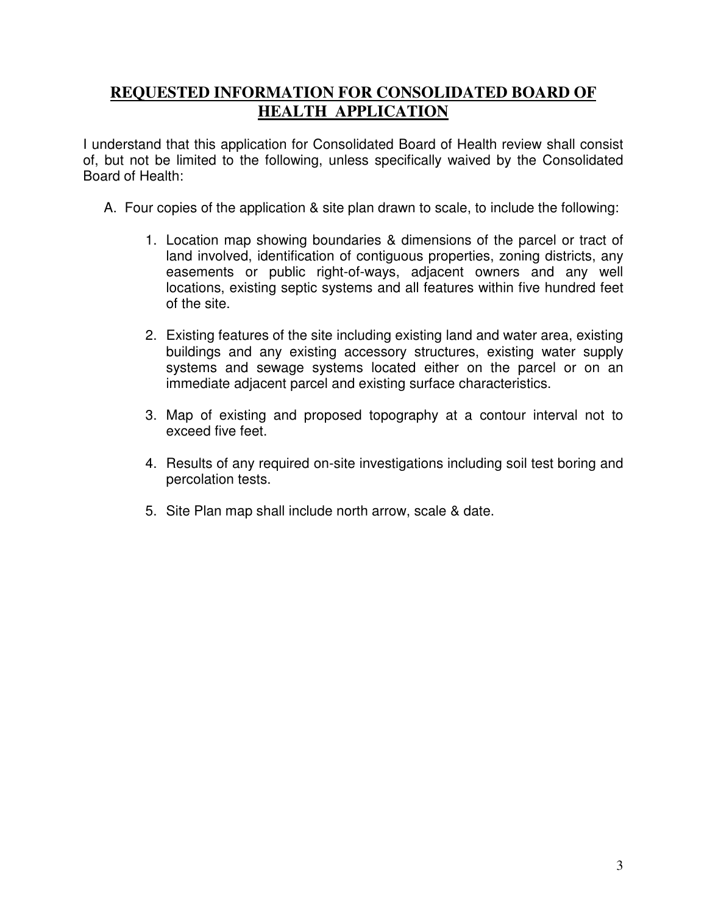### **REQUESTED INFORMATION FOR CONSOLIDATED BOARD OF HEALTH APPLICATION**

I understand that this application for Consolidated Board of Health review shall consist of, but not be limited to the following, unless specifically waived by the Consolidated Board of Health:

- A. Four copies of the application & site plan drawn to scale, to include the following:
	- 1. Location map showing boundaries & dimensions of the parcel or tract of land involved, identification of contiguous properties, zoning districts, any easements or public right-of-ways, adjacent owners and any well locations, existing septic systems and all features within five hundred feet of the site.
	- 2. Existing features of the site including existing land and water area, existing buildings and any existing accessory structures, existing water supply systems and sewage systems located either on the parcel or on an immediate adjacent parcel and existing surface characteristics.
	- 3. Map of existing and proposed topography at a contour interval not to exceed five feet.
	- 4. Results of any required on-site investigations including soil test boring and percolation tests.
	- 5. Site Plan map shall include north arrow, scale & date.